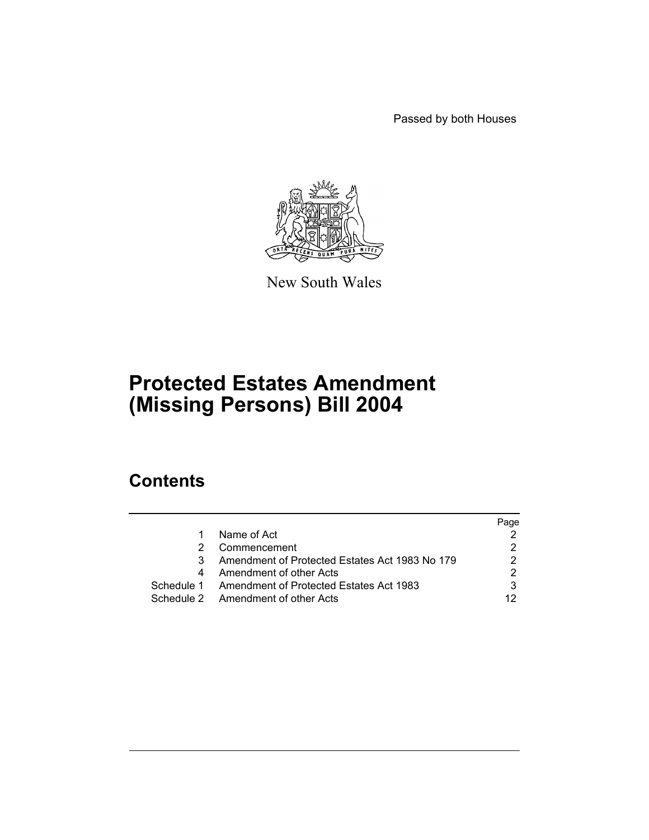Passed by both Houses



New South Wales

# **Protected Estates Amendment (Missing Persons) Bill 2004**

# **Contents**

| Name of Act<br>Commencement                        | Page |
|----------------------------------------------------|------|
|                                                    |      |
|                                                    |      |
| Amendment of Protected Estates Act 1983 No 179     |      |
| Amendment of other Acts                            |      |
| Schedule 1 Amendment of Protected Estates Act 1983 |      |
| Schedule 2 Amendment of other Acts                 | 12   |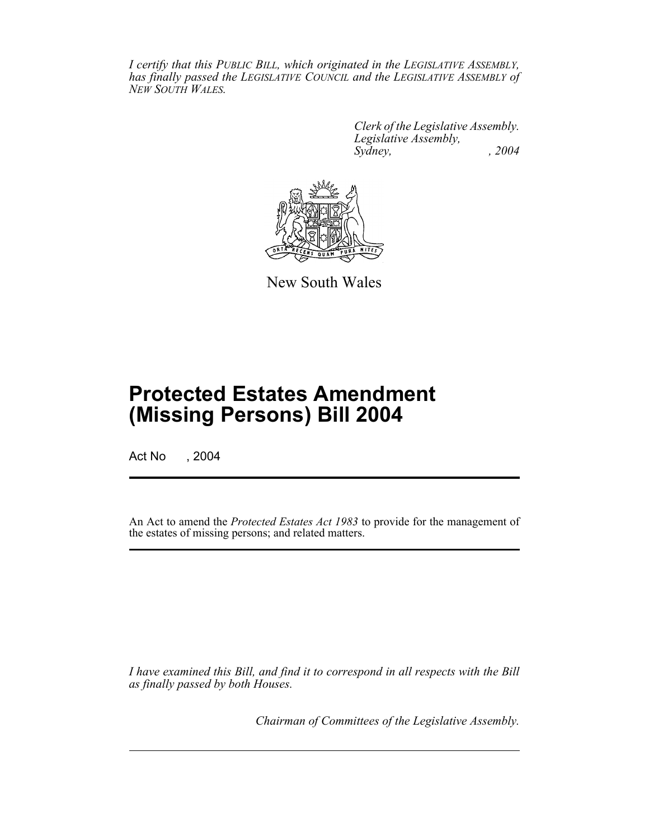*I certify that this PUBLIC BILL, which originated in the LEGISLATIVE ASSEMBLY, has finally passed the LEGISLATIVE COUNCIL and the LEGISLATIVE ASSEMBLY of NEW SOUTH WALES.*

> *Clerk of the Legislative Assembly. Legislative Assembly, Sydney, , 2004*



New South Wales

# **Protected Estates Amendment (Missing Persons) Bill 2004**

Act No , 2004

An Act to amend the *Protected Estates Act 1983* to provide for the management of the estates of missing persons; and related matters.

*I have examined this Bill, and find it to correspond in all respects with the Bill as finally passed by both Houses.*

*Chairman of Committees of the Legislative Assembly.*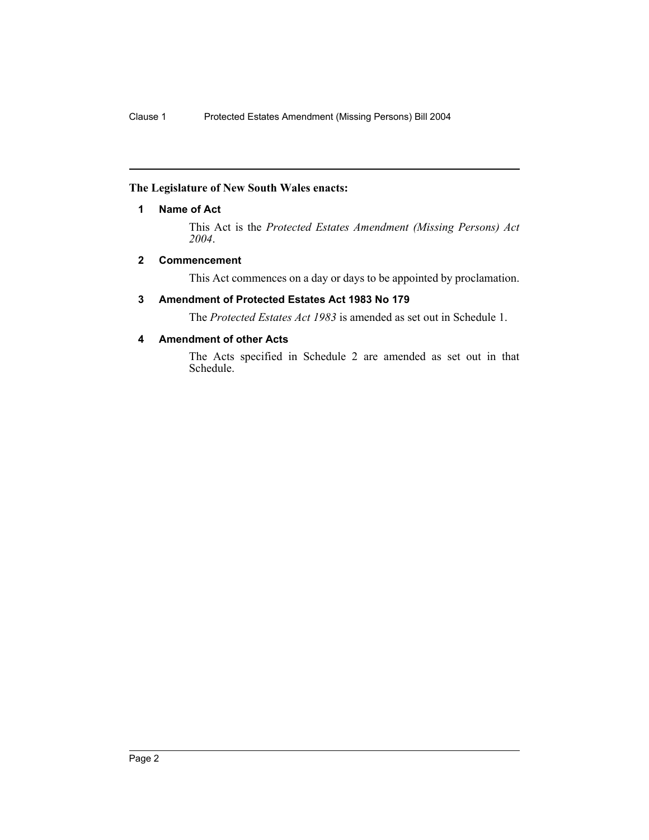#### **The Legislature of New South Wales enacts:**

#### **1 Name of Act**

This Act is the *Protected Estates Amendment (Missing Persons) Act 2004*.

#### **2 Commencement**

This Act commences on a day or days to be appointed by proclamation.

# **3 Amendment of Protected Estates Act 1983 No 179**

The *Protected Estates Act 1983* is amended as set out in Schedule 1.

# **4 Amendment of other Acts**

The Acts specified in Schedule 2 are amended as set out in that Schedule.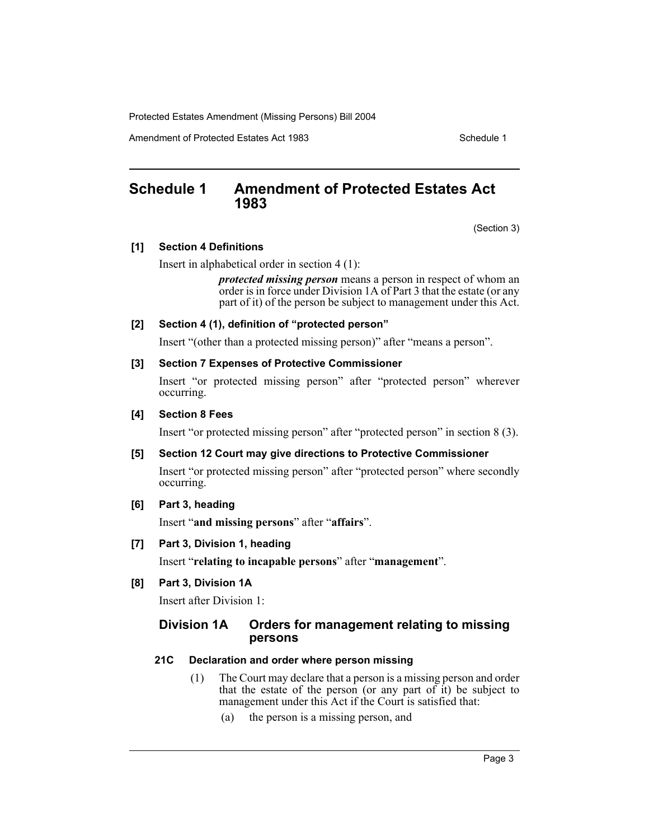Amendment of Protected Estates Act 1983 Schedule 1

# **Schedule 1 Amendment of Protected Estates Act 1983**

(Section 3)

#### **[1] Section 4 Definitions**

Insert in alphabetical order in section 4 (1):

*protected missing person* means a person in respect of whom an order is in force under Division 1A of Part 3 that the estate (or any part of it) of the person be subject to management under this Act.

#### **[2] Section 4 (1), definition of "protected person"**

Insert "(other than a protected missing person)" after "means a person".

#### **[3] Section 7 Expenses of Protective Commissioner**

Insert "or protected missing person" after "protected person" wherever occurring.

#### **[4] Section 8 Fees**

Insert "or protected missing person" after "protected person" in section 8 (3).

# **[5] Section 12 Court may give directions to Protective Commissioner**

Insert "or protected missing person" after "protected person" where secondly occurring.

# **[6] Part 3, heading**

Insert "**and missing persons**" after "**affairs**".

# **[7] Part 3, Division 1, heading**

Insert "**relating to incapable persons**" after "**management**".

# **[8] Part 3, Division 1A**

Insert after Division 1:

# **Division 1A Orders for management relating to missing persons**

# **21C Declaration and order where person missing**

- (1) The Court may declare that a person is a missing person and order that the estate of the person (or any part of it) be subject to management under this Act if the Court is satisfied that:
	- (a) the person is a missing person, and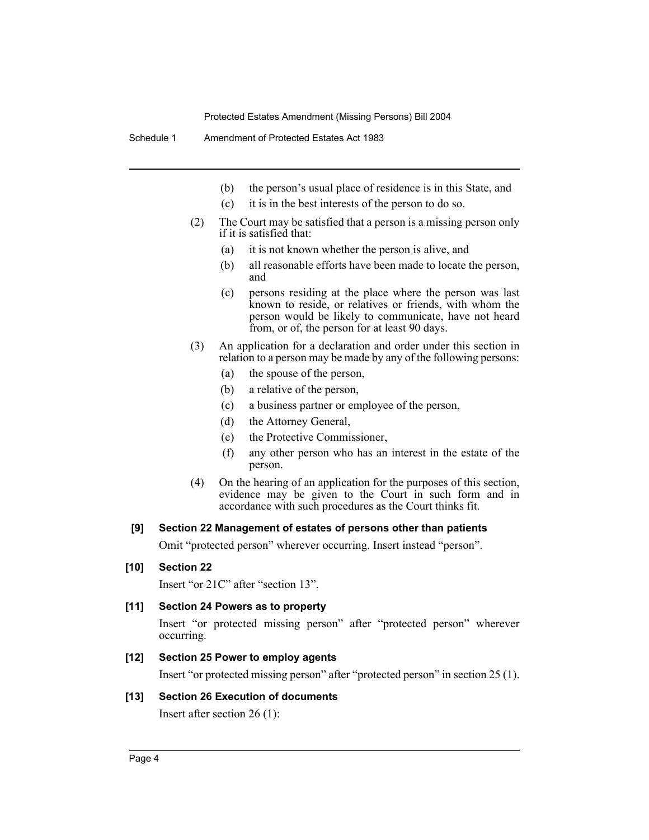Schedule 1 Amendment of Protected Estates Act 1983

- (b) the person's usual place of residence is in this State, and
- (c) it is in the best interests of the person to do so.
- (2) The Court may be satisfied that a person is a missing person only if it is satisfied that:
	- (a) it is not known whether the person is alive, and
	- (b) all reasonable efforts have been made to locate the person, and
	- (c) persons residing at the place where the person was last known to reside, or relatives or friends, with whom the person would be likely to communicate, have not heard from, or of, the person for at least 90 days.
- (3) An application for a declaration and order under this section in relation to a person may be made by any of the following persons:
	- (a) the spouse of the person,
	- (b) a relative of the person,
	- (c) a business partner or employee of the person,
	- (d) the Attorney General,
	- (e) the Protective Commissioner,
	- (f) any other person who has an interest in the estate of the person.
- (4) On the hearing of an application for the purposes of this section, evidence may be given to the Court in such form and in accordance with such procedures as the Court thinks fit.

#### **[9] Section 22 Management of estates of persons other than patients**

Omit "protected person" wherever occurring. Insert instead "person".

#### **[10] Section 22**

Insert "or 21C" after "section 13".

# **[11] Section 24 Powers as to property**

Insert "or protected missing person" after "protected person" wherever occurring.

#### **[12] Section 25 Power to employ agents**

Insert "or protected missing person" after "protected person" in section 25 (1).

#### **[13] Section 26 Execution of documents**

Insert after section 26 (1):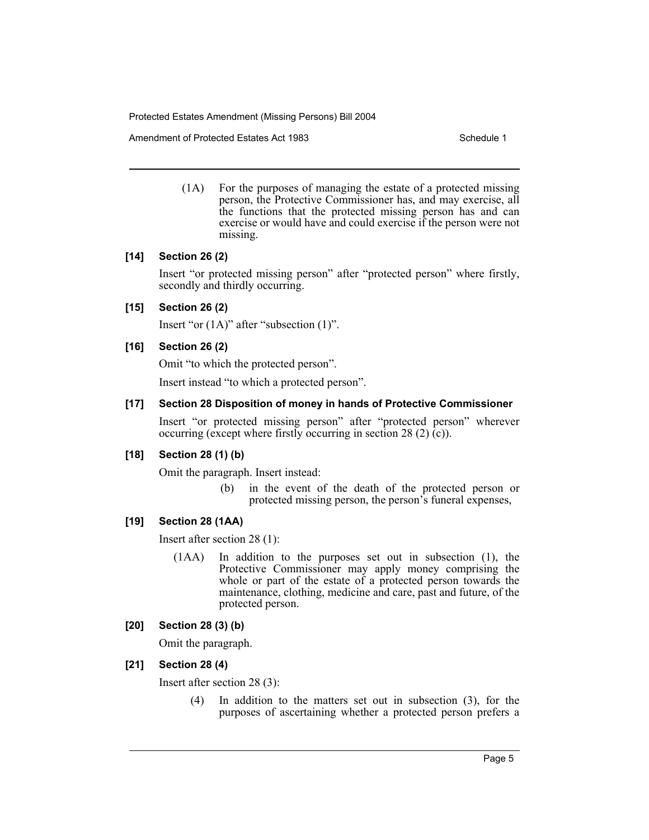Amendment of Protected Estates Act 1983 Schedule 1

(1A) For the purposes of managing the estate of a protected missing person, the Protective Commissioner has, and may exercise, all the functions that the protected missing person has and can exercise or would have and could exercise if the person were not missing.

#### **[14] Section 26 (2)**

Insert "or protected missing person" after "protected person" where firstly, secondly and thirdly occurring.

# **[15] Section 26 (2)**

Insert "or (1A)" after "subsection (1)".

# **[16] Section 26 (2)**

Omit "to which the protected person".

Insert instead "to which a protected person".

#### **[17] Section 28 Disposition of money in hands of Protective Commissioner**

Insert "or protected missing person" after "protected person" wherever occurring (except where firstly occurring in section 28 (2)  $(c)$ ).

#### **[18] Section 28 (1) (b)**

Omit the paragraph. Insert instead:

(b) in the event of the death of the protected person or protected missing person, the person's funeral expenses,

#### **[19] Section 28 (1AA)**

Insert after section 28 (1):

(1AA) In addition to the purposes set out in subsection (1), the Protective Commissioner may apply money comprising the whole or part of the estate of a protected person towards the maintenance, clothing, medicine and care, past and future, of the protected person.

#### **[20] Section 28 (3) (b)**

Omit the paragraph.

# **[21] Section 28 (4)**

Insert after section 28 (3):

(4) In addition to the matters set out in subsection (3), for the purposes of ascertaining whether a protected person prefers a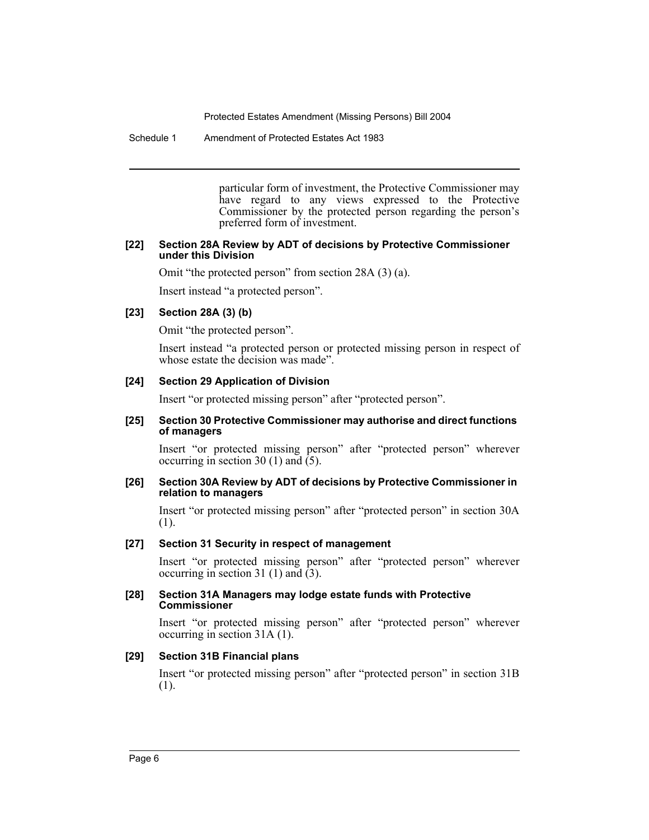Schedule 1 Amendment of Protected Estates Act 1983

particular form of investment, the Protective Commissioner may have regard to any views expressed to the Protective Commissioner by the protected person regarding the person's preferred form of investment.

#### **[22] Section 28A Review by ADT of decisions by Protective Commissioner under this Division**

Omit "the protected person" from section 28A (3) (a).

Insert instead "a protected person".

# **[23] Section 28A (3) (b)**

Omit "the protected person".

Insert instead "a protected person or protected missing person in respect of whose estate the decision was made".

#### **[24] Section 29 Application of Division**

Insert "or protected missing person" after "protected person".

#### **[25] Section 30 Protective Commissioner may authorise and direct functions of managers**

Insert "or protected missing person" after "protected person" wherever occurring in section 30 (1) and (5).

#### **[26] Section 30A Review by ADT of decisions by Protective Commissioner in relation to managers**

Insert "or protected missing person" after "protected person" in section 30A (1).

#### **[27] Section 31 Security in respect of management**

Insert "or protected missing person" after "protected person" wherever occurring in section 31 (1) and  $(3)$ .

#### **[28] Section 31A Managers may lodge estate funds with Protective Commissioner**

Insert "or protected missing person" after "protected person" wherever occurring in section 31A (1).

#### **[29] Section 31B Financial plans**

Insert "or protected missing person" after "protected person" in section 31B (1).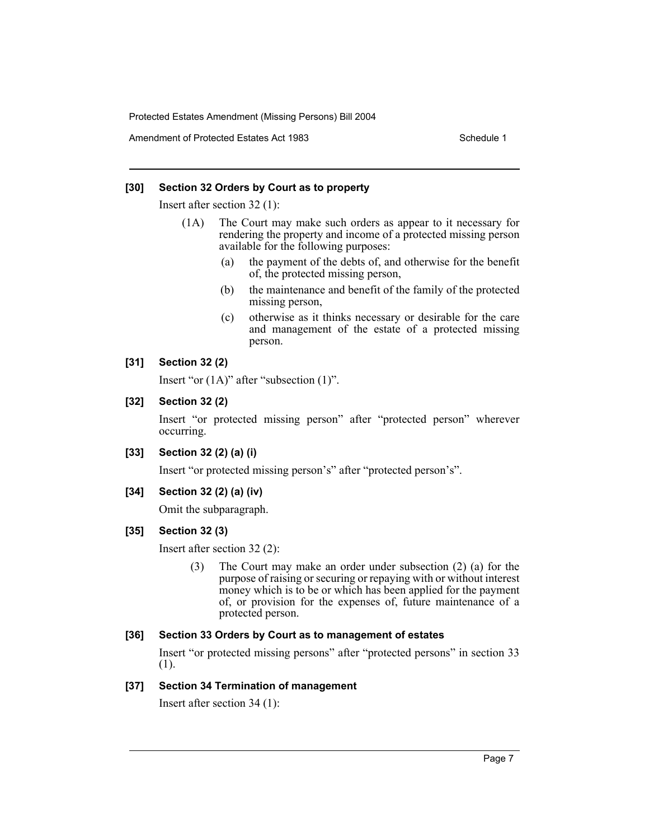Amendment of Protected Estates Act 1983 Schedule 1

#### **[30] Section 32 Orders by Court as to property**

Insert after section 32 (1):

- (1A) The Court may make such orders as appear to it necessary for rendering the property and income of a protected missing person available for the following purposes:
	- (a) the payment of the debts of, and otherwise for the benefit of, the protected missing person,
	- (b) the maintenance and benefit of the family of the protected missing person,
	- (c) otherwise as it thinks necessary or desirable for the care and management of the estate of a protected missing person.

#### **[31] Section 32 (2)**

Insert "or (1A)" after "subsection (1)".

#### **[32] Section 32 (2)**

Insert "or protected missing person" after "protected person" wherever occurring.

#### **[33] Section 32 (2) (a) (i)**

Insert "or protected missing person's" after "protected person's".

#### **[34] Section 32 (2) (a) (iv)**

Omit the subparagraph.

# **[35] Section 32 (3)**

Insert after section 32 (2):

(3) The Court may make an order under subsection (2) (a) for the purpose of raising or securing or repaying with or without interest money which is to be or which has been applied for the payment of, or provision for the expenses of, future maintenance of a protected person.

#### **[36] Section 33 Orders by Court as to management of estates**

Insert "or protected missing persons" after "protected persons" in section 33 (1).

#### **[37] Section 34 Termination of management**

Insert after section 34 (1):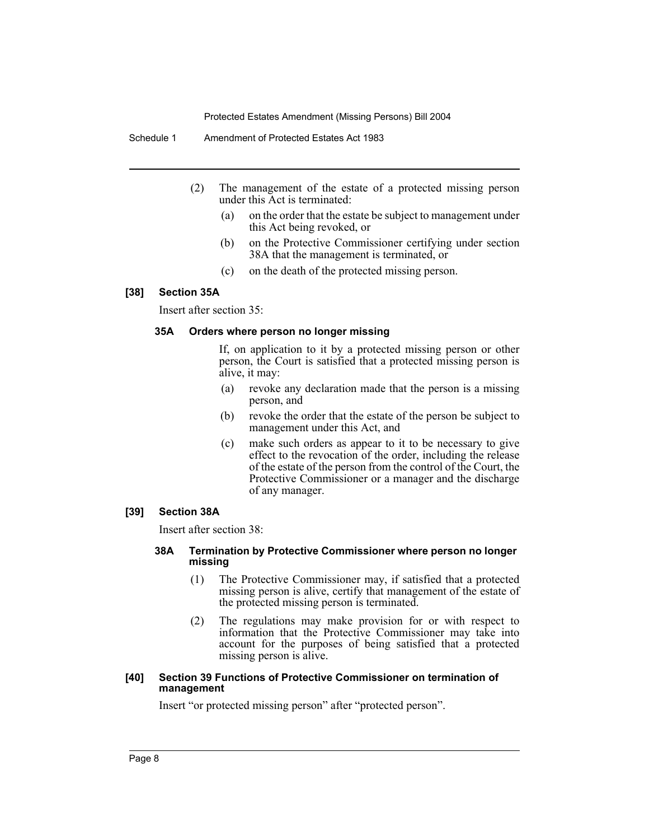Schedule 1 Amendment of Protected Estates Act 1983

- (2) The management of the estate of a protected missing person under this Act is terminated:
	- (a) on the order that the estate be subject to management under this Act being revoked, or
	- (b) on the Protective Commissioner certifying under section 38A that the management is terminated, or
	- (c) on the death of the protected missing person.

# **[38] Section 35A**

Insert after section 35:

#### **35A Orders where person no longer missing**

If, on application to it by a protected missing person or other person, the Court is satisfied that a protected missing person is alive, it may:

- (a) revoke any declaration made that the person is a missing person, and
- (b) revoke the order that the estate of the person be subject to management under this Act, and
- (c) make such orders as appear to it to be necessary to give effect to the revocation of the order, including the release of the estate of the person from the control of the Court, the Protective Commissioner or a manager and the discharge of any manager.

#### **[39] Section 38A**

Insert after section 38:

#### **38A Termination by Protective Commissioner where person no longer missing**

- (1) The Protective Commissioner may, if satisfied that a protected missing person is alive, certify that management of the estate of the protected missing person is terminated.
- (2) The regulations may make provision for or with respect to information that the Protective Commissioner may take into account for the purposes of being satisfied that a protected missing person is alive.

#### **[40] Section 39 Functions of Protective Commissioner on termination of management**

Insert "or protected missing person" after "protected person".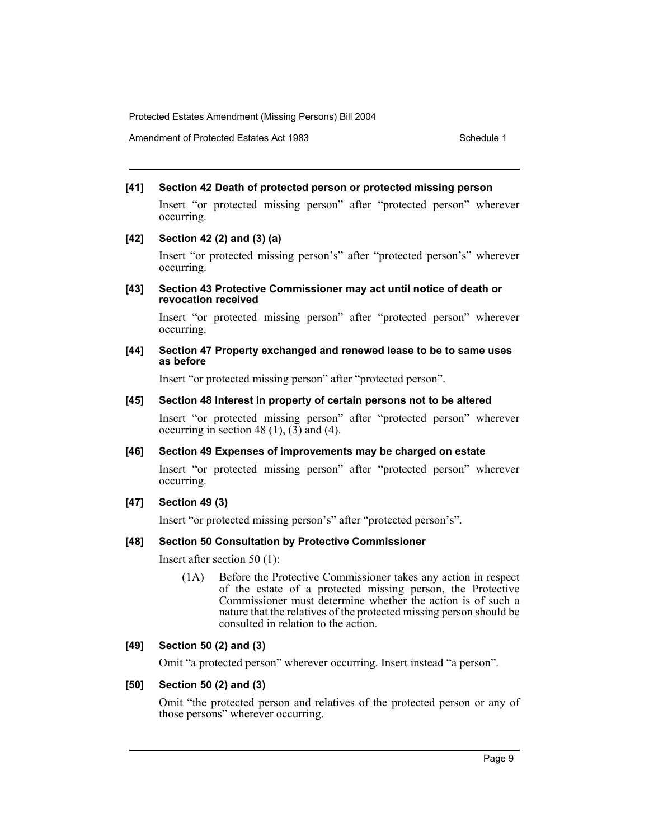Amendment of Protected Estates Act 1983 Schedule 1

#### **[41] Section 42 Death of protected person or protected missing person**

Insert "or protected missing person" after "protected person" wherever occurring.

#### **[42] Section 42 (2) and (3) (a)**

Insert "or protected missing person's" after "protected person's" wherever occurring.

#### **[43] Section 43 Protective Commissioner may act until notice of death or revocation received**

Insert "or protected missing person" after "protected person" wherever occurring.

#### **[44] Section 47 Property exchanged and renewed lease to be to same uses as before**

Insert "or protected missing person" after "protected person".

#### **[45] Section 48 Interest in property of certain persons not to be altered**

Insert "or protected missing person" after "protected person" wherever occurring in section 48 (1),  $(3)$  and (4).

# **[46] Section 49 Expenses of improvements may be charged on estate**

Insert "or protected missing person" after "protected person" wherever occurring.

# **[47] Section 49 (3)**

Insert "or protected missing person's" after "protected person's".

#### **[48] Section 50 Consultation by Protective Commissioner**

Insert after section 50 (1):

(1A) Before the Protective Commissioner takes any action in respect of the estate of a protected missing person, the Protective Commissioner must determine whether the action is of such a nature that the relatives of the protected missing person should be consulted in relation to the action.

# **[49] Section 50 (2) and (3)**

Omit "a protected person" wherever occurring. Insert instead "a person".

# **[50] Section 50 (2) and (3)**

Omit "the protected person and relatives of the protected person or any of those persons" wherever occurring.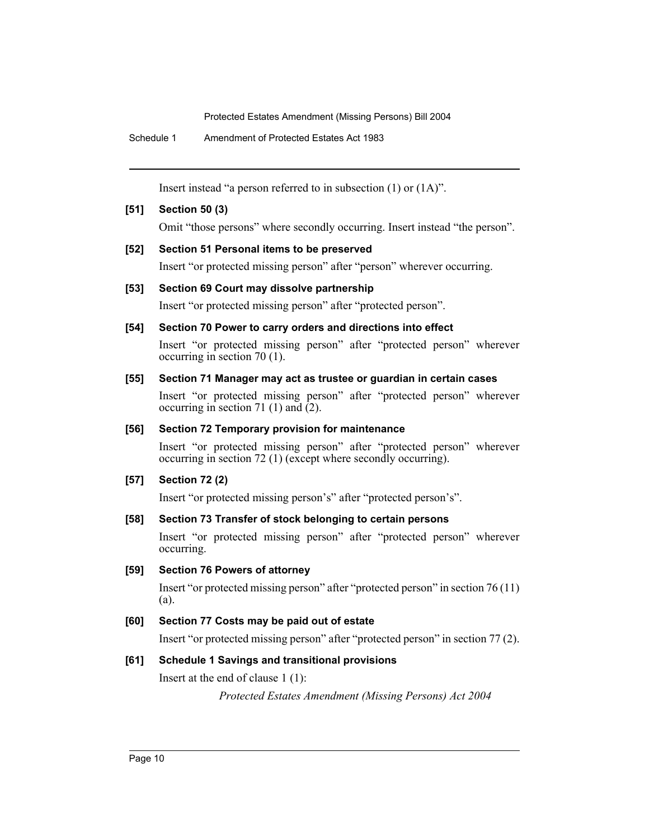Schedule 1 Amendment of Protected Estates Act 1983

Insert instead "a person referred to in subsection (1) or (1A)".

# **[51] Section 50 (3)**

Omit "those persons" where secondly occurring. Insert instead "the person".

# **[52] Section 51 Personal items to be preserved**

Insert "or protected missing person" after "person" wherever occurring.

# **[53] Section 69 Court may dissolve partnership**

Insert "or protected missing person" after "protected person".

# **[54] Section 70 Power to carry orders and directions into effect**

Insert "or protected missing person" after "protected person" wherever occurring in section 70 (1).

# **[55] Section 71 Manager may act as trustee or guardian in certain cases**

Insert "or protected missing person" after "protected person" wherever occurring in section 71 (1) and  $(2)$ .

# **[56] Section 72 Temporary provision for maintenance**

Insert "or protected missing person" after "protected person" wherever occurring in section 72 (1) (except where secondly occurring).

# **[57] Section 72 (2)**

Insert "or protected missing person's" after "protected person's".

# **[58] Section 73 Transfer of stock belonging to certain persons**

Insert "or protected missing person" after "protected person" wherever occurring.

# **[59] Section 76 Powers of attorney**

Insert "or protected missing person" after "protected person" in section 76 (11) (a).

# **[60] Section 77 Costs may be paid out of estate**

Insert "or protected missing person" after "protected person" in section 77 (2).

# **[61] Schedule 1 Savings and transitional provisions**

Insert at the end of clause 1 (1):

*Protected Estates Amendment (Missing Persons) Act 2004*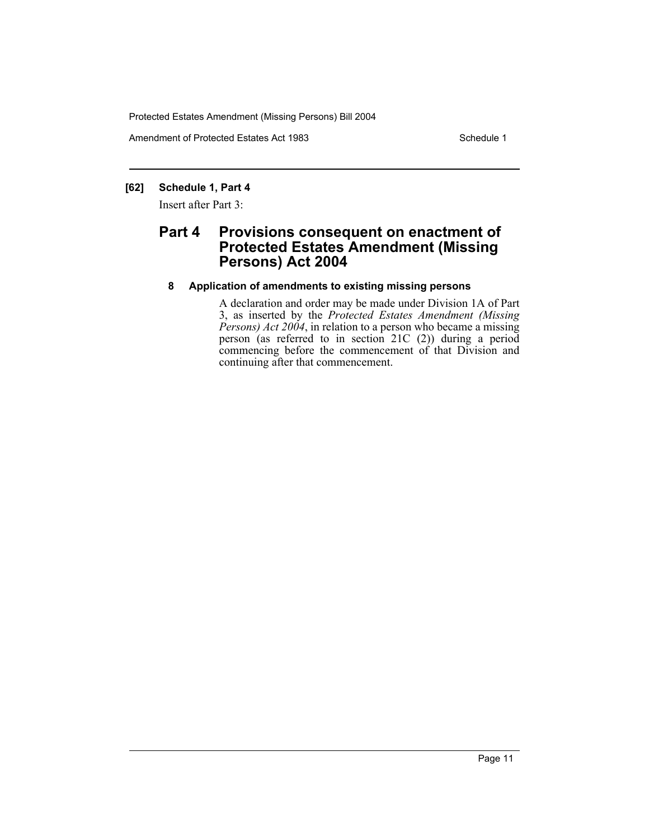Amendment of Protected Estates Act 1983 Schedule 1

# **[62] Schedule 1, Part 4**

Insert after Part 3:

# **Part 4 Provisions consequent on enactment of Protected Estates Amendment (Missing Persons) Act 2004**

# **8 Application of amendments to existing missing persons**

A declaration and order may be made under Division 1A of Part 3, as inserted by the *Protected Estates Amendment (Missing Persons) Act 2004*, in relation to a person who became a missing person (as referred to in section 21C (2)) during a period commencing before the commencement of that Division and continuing after that commencement.